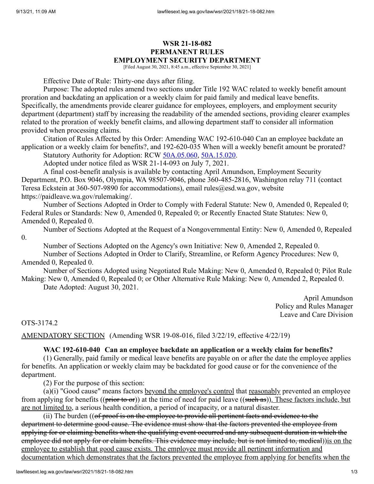## **WSR 21-18-082 PERMANENT RULES EMPLOYMENT SECURITY DEPARTMENT**

[Filed August 30, 2021, 8:45 a.m., effective September 30, 2021]

Effective Date of Rule: Thirty-one days after filing.

Purpose: The adopted rules amend two sections under Title 192 WAC related to weekly benefit amount proration and backdating an application or a weekly claim for paid family and medical leave benefits. Specifically, the amendments provide clearer guidance for employees, employers, and employment security department (department) staff by increasing the readability of the amended sections, providing clearer examples related to the proration of weekly benefit claims, and allowing department staff to consider all information provided when processing claims.

Citation of Rules Affected by this Order: Amending WAC 192-610-040 Can an employee backdate an application or a weekly claim for benefits?, and 192-620-035 When will a weekly benefit amount be prorated? Statutory Authority for Adoption: RCW [50A.05.060](http://app.leg.wa.gov/RCW/default.aspx?cite=50A.05.060), [50A.15.020.](http://app.leg.wa.gov/RCW/default.aspx?cite=50A.15.020)

Adopted under notice filed as WSR 21-14-093 on July 7, 2021.

A final cost-benefit analysis is available by contacting April Amundson, Employment Security Department, P.O. Box 9046, Olympia, WA 98507-9046, phone 360-485-2816, Washington relay 711 (contact Teresa Eckstein at 360-507-9890 for accommodations), email rules@esd.wa.gov, website https://paidleave.wa.gov/rulemaking/.

Number of Sections Adopted in Order to Comply with Federal Statute: New 0, Amended 0, Repealed 0; Federal Rules or Standards: New 0, Amended 0, Repealed 0; or Recently Enacted State Statutes: New 0, Amended 0, Repealed 0.

Number of Sections Adopted at the Request of a Nongovernmental Entity: New 0, Amended 0, Repealed 0.

Number of Sections Adopted on the Agency's own Initiative: New 0, Amended 2, Repealed 0.

Number of Sections Adopted in Order to Clarify, Streamline, or Reform Agency Procedures: New 0, Amended 0, Repealed 0.

Number of Sections Adopted using Negotiated Rule Making: New 0, Amended 0, Repealed 0; Pilot Rule Making: New 0, Amended 0, Repealed 0; or Other Alternative Rule Making: New 0, Amended 2, Repealed 0.

Date Adopted: August 30, 2021.

April Amundson Policy and Rules Manager Leave and Care Division

OTS-3174.2

AMENDATORY SECTION (Amending WSR 19-08-016, filed 3/22/19, effective 4/22/19)

## **WAC 192-610-040 Can an employee backdate an application or a weekly claim for benefits?**

(1) Generally, paid family or medical leave benefits are payable on or after the date the employee applies for benefits. An application or weekly claim may be backdated for good cause or for the convenience of the department.

(2) For the purpose of this section:

(a)(i) "Good cause" means factors beyond the employee's control that reasonably prevented an employee from applying for benefits (( $\frac{\rho}{\rho}$  to  $\frac{\rho}{\rho}$ )) at the time of need for paid leave (( $\frac{\rho}{\rho}$  as)). These factors include, but are not limited to, a serious health condition, a period of incapacity, or a natural disaster.

(ii) The burden ((of proof is on the employee to provide all pertinent facts and evidence to the department to determine good cause. The evidence must show that the factors prevented the employee from applying for or claiming benefits when the qualifying event occurred and any subsequent duration in which the employee did not apply for or claim benefits. This evidence may include, but is not limited to, medical))is on the employee to establish that good cause exists. The employee must provide all pertinent information and documentation which demonstrates that the factors prevented the employee from applying for benefits when the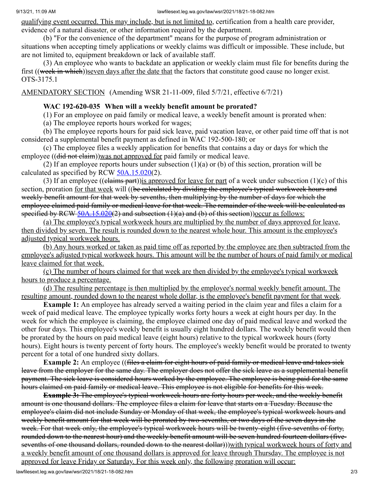qualifying event occurred. This may include, but is not limited to, certification from a health care provider, evidence of a natural disaster, or other information required by the department.

(b) "For the convenience of the department" means for the purpose of program administration or situations when accepting timely applications or weekly claims was difficult or impossible. These include, but are not limited to, equipment breakdown or lack of available staff.

(3) An employee who wants to backdate an application or weekly claim must file for benefits during the first ((week in which))seven days after the date that the factors that constitute good cause no longer exist. OTS-3175.1

AMENDATORY SECTION (Amending WSR 21-11-009, filed 5/7/21, effective 6/7/21)

## **WAC 192-620-035 When will a weekly benefit amount be prorated?**

(1) For an employee on paid family or medical leave, a weekly benefit amount is prorated when:

(a) The employee reports hours worked for wages;

(b) The employee reports hours for paid sick leave, paid vacation leave, or other paid time off that is not considered a supplemental benefit payment as defined in WAC 192-500-180; or

(c) The employee files a weekly application for benefits that contains a day or days for which the employee ((did not claim))was not approved for paid family or medical leave.

(2) If an employee reports hours under subsection (1)(a) or (b) of this section, proration will be calculated as specified by RCW  $50A.15.020(2)$ .

(3) If an employee ((elaims part)) is approved for leave for part of a week under subsection (1)(c) of this section, proration for that week will ((be calculated by dividing the employee's typical workweek hours and weekly benefit amount for that week by sevenths, then multiplying by the number of days for which the employee claimed paid family or medical leave for that week. The remainder of the week will be calculated as specified by RCW  $\frac{50A.15.020(2)}{20}$  and subsection  $(1)(a)$  and  $(b)$  of this section))occur as follows:

(a) The employee's typical workweek hours are multiplied by the number of days approved for leave, then divided by seven. The result is rounded down to the nearest whole hour. This amount is the employee's adjusted typical workweek hours.

(b) Any hours worked or taken as paid time off as reported by the employee are then subtracted from the employee's adjusted typical workweek hours. This amount will be the number of hours of paid family or medical leave claimed for that week.

(c) The number of hours claimed for that week are then divided by the employee's typical workweek hours to produce a percentage.

(d) The resulting percentage is then multiplied by the employee's normal weekly benefit amount. The resulting amount, rounded down to the nearest whole dollar, is the employee's benefit payment for that week.

**Example 1:** An employee has already served a waiting period in the claim year and files a claim for a week of paid medical leave. The employee typically works forty hours a week at eight hours per day. In the week for which the employee is claiming, the employee claimed one day of paid medical leave and worked the other four days. This employee's weekly benefit is usually eight hundred dollars. The weekly benefit would then be prorated by the hours on paid medical leave (eight hours) relative to the typical workweek hours (forty hours). Eight hours is twenty percent of forty hours. The employee's weekly benefit would be prorated to twenty percent for a total of one hundred sixty dollars.

**Example 2:** An employee ((files a claim for eight hours of paid family or medical leave and takes sick leave from the employer for the same day. The employer does not offer the sick leave as a supplemental benefit payment. The sick leave is considered hours worked by the employee. The employee is being paid for the same hours claimed on paid family or medical leave. This employee is not eligible for benefits for this week.

**Example 3:** The employee's typical workweek hours are forty hours per week, and the weekly benefit amount is one thousand dollars. The employee files a claim for leave that starts on a Tuesday. Because the employee's claim did not include Sunday or Monday of that week, the employee's typical workweek hours and weekly benefit amount for that week will be prorated by two-sevenths, or two days of the seven days in the week. For that week only, the employee's typical workweek hours will be twenty-eight (five-sevenths of forty, rounded down to the nearest hour) and the weekly benefit amount will be seven hundred fourteen dollars (fivesevenths of one thousand dollars, rounded down to the nearest dollar)))with typical workweek hours of forty and a weekly benefit amount of one thousand dollars is approved for leave through Thursday. The employee is not approved for leave Friday or Saturday. For this week only, the following proration will occur: